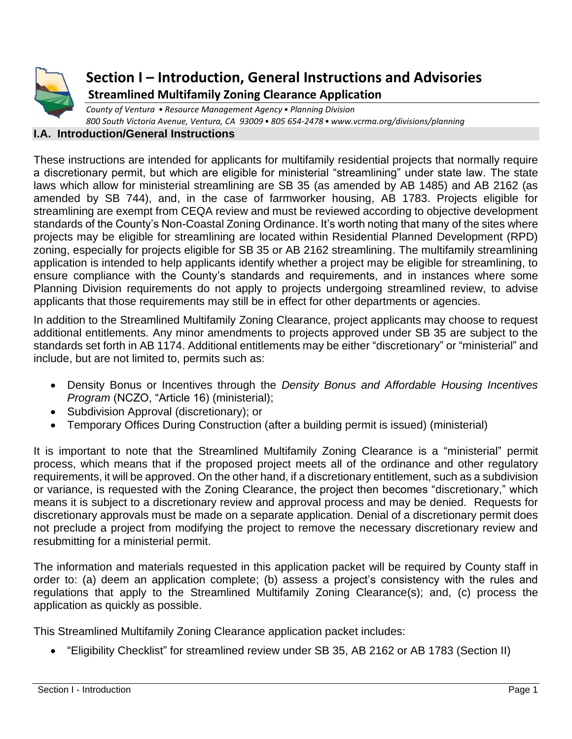

## **Section I – Introduction, General Instructions and Advisories Streamlined Multifamily Zoning Clearance Application**

*County of Ventura • Resource Management Agency• Planning Division 800 South Victoria Avenue, Ventura, CA 93009• 805 654-2478• www.vcrma.org/divisions/planning*

## **I.A. Introduction/General Instructions**

These instructions are intended for applicants for multifamily residential projects that normally require a discretionary permit, but which are eligible for ministerial "streamlining" under state law. The state laws which allow for ministerial streamlining are SB 35 (as amended by AB 1485) and AB 2162 (as amended by SB 744), and, in the case of farmworker housing, AB 1783. Projects eligible for streamlining are exempt from CEQA review and must be reviewed according to objective development standards of the County's Non-Coastal Zoning Ordinance. It's worth noting that many of the sites where projects may be eligible for streamlining are located within Residential Planned Development (RPD) zoning, especially for projects eligible for SB 35 or AB 2162 streamlining. The multifamily streamlining application is intended to help applicants identify whether a project may be eligible for streamlining, to ensure compliance with the County's standards and requirements, and in instances where some Planning Division requirements do not apply to projects undergoing streamlined review, to advise applicants that those requirements may still be in effect for other departments or agencies.

In addition to the Streamlined Multifamily Zoning Clearance, project applicants may choose to request additional entitlements. Any minor amendments to projects approved under SB 35 are subject to the standards set forth in AB 1174. Additional entitlements may be either "discretionary" or "ministerial" and include, but are not limited to, permits such as:

- Density Bonus or Incentives through the *Density Bonus and Affordable Housing Incentives Program* (NCZO, "Article 16) (ministerial);
- Subdivision Approval (discretionary); or
- Temporary Offices During Construction (after a building permit is issued) (ministerial)

It is important to note that the Streamlined Multifamily Zoning Clearance is a "ministerial" permit process, which means that if the proposed project meets all of the ordinance and other regulatory requirements, it will be approved. On the other hand, if a discretionary entitlement, such as a subdivision or variance, is requested with the Zoning Clearance, the project then becomes "discretionary," which means it is subject to a discretionary review and approval process and may be denied. Requests for discretionary approvals must be made on a separate application. Denial of a discretionary permit does not preclude a project from modifying the project to remove the necessary discretionary review and resubmitting for a ministerial permit.

The information and materials requested in this application packet will be required by County staff in order to: (a) deem an application complete; (b) assess a project's consistency with the rules and regulations that apply to the Streamlined Multifamily Zoning Clearance(s); and, (c) process the application as quickly as possible.

This Streamlined Multifamily Zoning Clearance application packet includes:

• "Eligibility Checklist" for streamlined review under SB 35, AB 2162 or AB 1783 (Section II)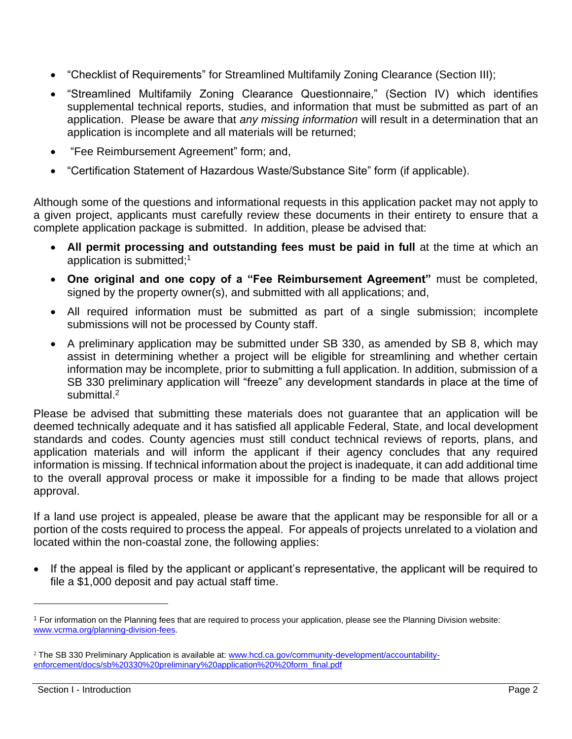- "Checklist of Requirements" for Streamlined Multifamily Zoning Clearance (Section III);
- "Streamlined Multifamily Zoning Clearance Questionnaire," (Section IV) which identifies supplemental technical reports, studies, and information that must be submitted as part of an application. Please be aware that *any missing information* will result in a determination that an application is incomplete and all materials will be returned;
- "Fee Reimbursement Agreement" form; and,
- "Certification Statement of Hazardous Waste/Substance Site" form (if applicable).

Although some of the questions and informational requests in this application packet may not apply to a given project, applicants must carefully review these documents in their entirety to ensure that a complete application package is submitted. In addition, please be advised that:

- **All permit processing and outstanding fees must be paid in full** at the time at which an application is submitted; 1
- **One original and one copy of a "Fee Reimbursement Agreement"** must be completed, signed by the property owner(s), and submitted with all applications; and,
- All required information must be submitted as part of a single submission; incomplete submissions will not be processed by County staff.
- A preliminary application may be submitted under SB 330, as amended by SB 8, which may assist in determining whether a project will be eligible for streamlining and whether certain information may be incomplete, prior to submitting a full application. In addition, submission of a SB 330 preliminary application will "freeze" any development standards in place at the time of submittal.<sup>2</sup>

Please be advised that submitting these materials does not guarantee that an application will be deemed technically adequate and it has satisfied all applicable Federal, State, and local development standards and codes. County agencies must still conduct technical reviews of reports, plans, and application materials and will inform the applicant if their agency concludes that any required information is missing. If technical information about the project is inadequate, it can add additional time to the overall approval process or make it impossible for a finding to be made that allows project approval.

If a land use project is appealed, please be aware that the applicant may be responsible for all or a portion of the costs required to process the appeal. For appeals of projects unrelated to a violation and located within the non-coastal zone, the following applies:

• If the appeal is filed by the applicant or applicant's representative, the applicant will be required to file a \$1,000 deposit and pay actual staff time.

<sup>1</sup> For information on the Planning fees that are required to process your application, please see the Planning Division website: [www.vcrma.org/planning-division-fees.](http://www.vcrma.org/planning-division-fees)

<sup>2</sup> The SB 330 Preliminary Application is available at: [www.hcd.ca.gov/community-development/accountability](https://www.hcd.ca.gov/community-development/accountability-enforcement/docs/sb%20330%20preliminary%20application%20%20form_final.pdf)[enforcement/docs/sb%20330%20preliminary%20application%20%20form\\_final.pdf](https://www.hcd.ca.gov/community-development/accountability-enforcement/docs/sb%20330%20preliminary%20application%20%20form_final.pdf)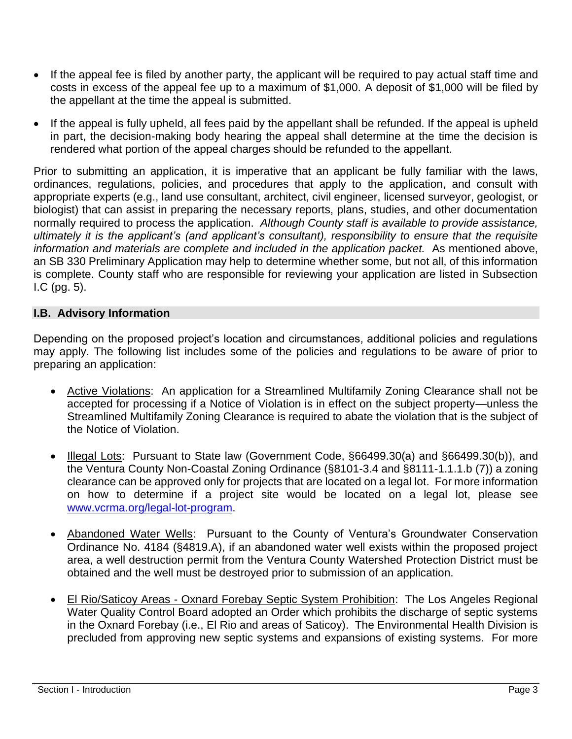- If the appeal fee is filed by another party, the applicant will be required to pay actual staff time and costs in excess of the appeal fee up to a maximum of \$1,000. A deposit of \$1,000 will be filed by the appellant at the time the appeal is submitted.
- If the appeal is fully upheld, all fees paid by the appellant shall be refunded. If the appeal is upheld in part, the decision-making body hearing the appeal shall determine at the time the decision is rendered what portion of the appeal charges should be refunded to the appellant.

Prior to submitting an application, it is imperative that an applicant be fully familiar with the laws, ordinances, regulations, policies, and procedures that apply to the application, and consult with appropriate experts (e.g., land use consultant, architect, civil engineer, licensed surveyor, geologist, or biologist) that can assist in preparing the necessary reports, plans, studies, and other documentation normally required to process the application. *Although County staff is available to provide assistance, ultimately it is the applicant's (and applicant's consultant), responsibility to ensure that the requisite information and materials are complete and included in the application packet.* As mentioned above, an SB 330 Preliminary Application may help to determine whether some, but not all, of this information is complete. County staff who are responsible for reviewing your application are listed in Subsection I.C (pg. 5).

## **I.B. Advisory Information**

Depending on the proposed project's location and circumstances, additional policies and regulations may apply. The following list includes some of the policies and regulations to be aware of prior to preparing an application:

- Active Violations: An application for a Streamlined Multifamily Zoning Clearance shall not be accepted for processing if a Notice of Violation is in effect on the subject property—unless the Streamlined Multifamily Zoning Clearance is required to abate the violation that is the subject of the Notice of Violation.
- Illegal Lots: Pursuant to State law (Government Code, §66499.30(a) and §66499.30(b)), and the Ventura County Non-Coastal Zoning Ordinance (§8101-3.4 and §8111-1.1.1.b (7)) a zoning clearance can be approved only for projects that are located on a legal lot. For more information on how to determine if a project site would be located on a legal lot, please see [www.vcrma.org/legal-lot-program.](https://vcrma.org/legal-lot-program)
- Abandoned Water Wells: Pursuant to the County of Ventura's Groundwater Conservation Ordinance No. 4184 (§4819.A), if an abandoned water well exists within the proposed project area, a well destruction permit from the Ventura County Watershed Protection District must be obtained and the well must be destroyed prior to submission of an application.
- El Rio/Saticoy Areas Oxnard Forebay Septic System Prohibition: The Los Angeles Regional Water Quality Control Board adopted an Order which prohibits the discharge of septic systems in the Oxnard Forebay (i.e., El Rio and areas of Saticoy). The Environmental Health Division is precluded from approving new septic systems and expansions of existing systems. For more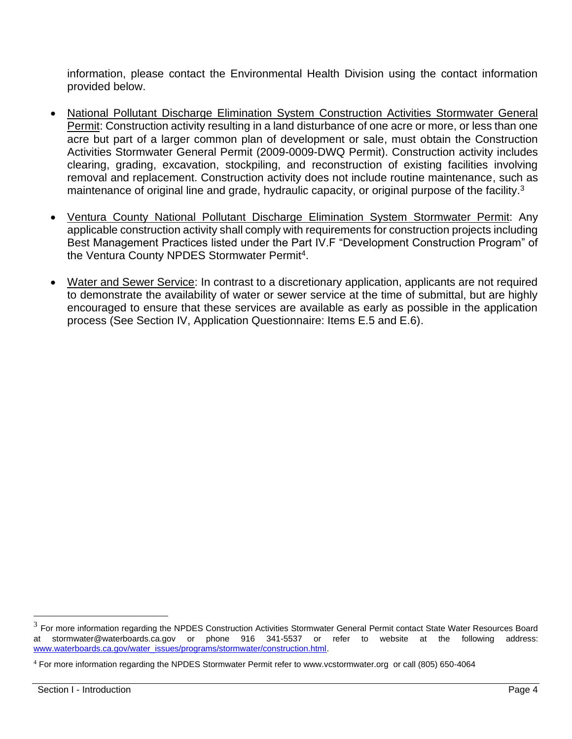information, please contact the Environmental Health Division using the contact information provided below.

- National Pollutant Discharge Elimination System Construction Activities Stormwater General Permit: Construction activity resulting in a land disturbance of one acre or more, or less than one acre but part of a larger common plan of development or sale, must obtain the Construction Activities Stormwater General Permit (2009-0009-DWQ Permit). Construction activity includes clearing, grading, excavation, stockpiling, and reconstruction of existing facilities involving removal and replacement. Construction activity does not include routine maintenance, such as maintenance of original line and grade, hydraulic capacity, or original purpose of the facility.<sup>3</sup>
- Ventura County National Pollutant Discharge Elimination System Stormwater Permit: Any applicable construction activity shall comply with requirements for construction projects including Best Management Practices listed under the Part IV.F "Development Construction Program" of the Ventura County NPDES Stormwater Permit<sup>4</sup>.
- Water and Sewer Service: In contrast to a discretionary application, applicants are not required to demonstrate the availability of water or sewer service at the time of submittal, but are highly encouraged to ensure that these services are available as early as possible in the application process (See Section IV, Application Questionnaire: Items E.5 and E.6).

 $3$  For more information regarding the NPDES Construction Activities Stormwater General Permit contact State Water Resources Board at stormwater@waterboards.ca.gov or phone 916 341-5537 or refer to website at the following address: [www.waterboards.ca.gov/water\\_issues/programs/stormwater/construction.html.](http://www.waterboards.ca.gov/water_issues/programs/stormwater/construction.html)

 $4$  For more information regarding the NPDES Stormwater Permit refer to [www.vcstormwater.org](http://www.vcstormwater.org/) or call (805) 650-4064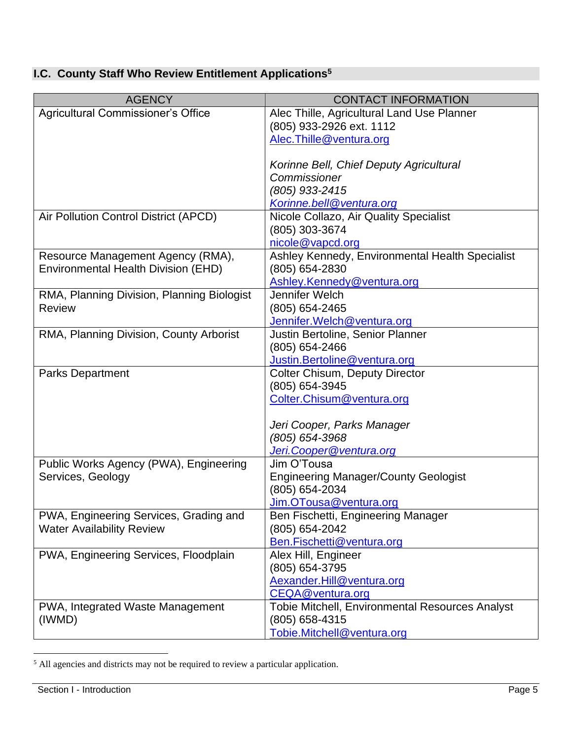## **I.C. County Staff Who Review Entitlement Applications<sup>5</sup>**

| <b>AGENCY</b>                              | <b>CONTACT INFORMATION</b>                             |
|--------------------------------------------|--------------------------------------------------------|
| Agricultural Commissioner's Office         | Alec Thille, Agricultural Land Use Planner             |
|                                            | (805) 933-2926 ext. 1112                               |
|                                            | Alec. Thille@ventura.org                               |
|                                            |                                                        |
|                                            | Korinne Bell, Chief Deputy Agricultural                |
|                                            | Commissioner                                           |
|                                            | (805) 933-2415                                         |
|                                            | Korinne.bell@ventura.org                               |
| Air Pollution Control District (APCD)      | Nicole Collazo, Air Quality Specialist                 |
|                                            | (805) 303-3674                                         |
|                                            | nicole@vapcd.org                                       |
| Resource Management Agency (RMA),          | Ashley Kennedy, Environmental Health Specialist        |
| Environmental Health Division (EHD)        | (805) 654-2830                                         |
|                                            | Ashley.Kennedy@ventura.org                             |
| RMA, Planning Division, Planning Biologist | Jennifer Welch                                         |
| <b>Review</b>                              | (805) 654-2465                                         |
|                                            | Jennifer. Welch@ventura.org                            |
| RMA, Planning Division, County Arborist    | Justin Bertoline, Senior Planner                       |
|                                            | $(805)$ 654-2466                                       |
|                                            | Justin.Bertoline@ventura.org                           |
| <b>Parks Department</b>                    | <b>Colter Chisum, Deputy Director</b>                  |
|                                            | (805) 654-3945                                         |
|                                            | Colter.Chisum@ventura.org                              |
|                                            |                                                        |
|                                            | Jeri Cooper, Parks Manager                             |
|                                            | (805) 654-3968                                         |
|                                            | Jeri.Cooper@ventura.org                                |
| Public Works Agency (PWA), Engineering     | Jim O'Tousa                                            |
| Services, Geology                          | <b>Engineering Manager/County Geologist</b>            |
|                                            | (805) 654-2034                                         |
|                                            | Jim.OTousa@ventura.org                                 |
| PWA, Engineering Services, Grading and     | Ben Fischetti, Engineering Manager                     |
| <b>Water Availability Review</b>           | (805) 654-2042                                         |
|                                            | Ben.Fischetti@ventura.org                              |
| PWA, Engineering Services, Floodplain      | Alex Hill, Engineer                                    |
|                                            | (805) 654-3795                                         |
|                                            | Aexander.Hill@ventura.org                              |
|                                            | CEQA@ventura.org                                       |
| PWA, Integrated Waste Management           | <b>Tobie Mitchell, Environmental Resources Analyst</b> |
| (IWMD)                                     | (805) 658-4315                                         |
|                                            | Tobie.Mitchell@ventura.org                             |

 $<sup>5</sup>$  All agencies and districts may not be required to review a particular application.</sup>